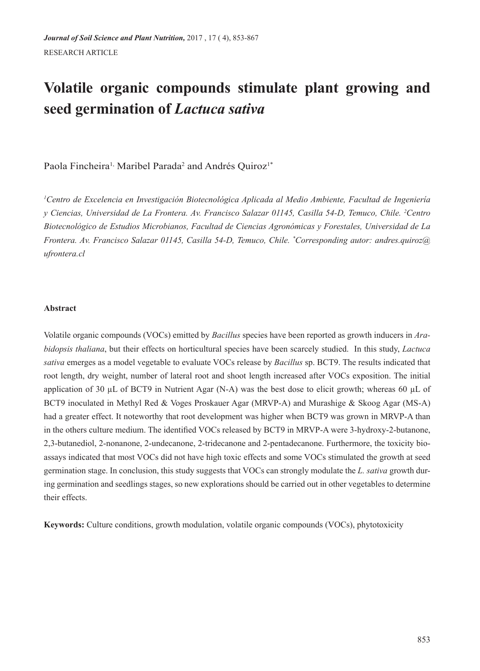# **Volatile organic compounds stimulate plant growing and seed germination of** *Lactuca sativa*

Paola Fincheira<sup>1,</sup> Maribel Parada<sup>2</sup> and Andrés Quiroz<sup>1\*</sup>

*1 Centro de Excelencia en Investigación Biotecnológica Aplicada al Medio Ambiente, Facultad de Ingeniería y Ciencias, Universidad de La Frontera. Av. Francisco Salazar 01145, Casilla 54-D, Temuco, Chile. 2 Centro Biotecnológico de Estudios Microbianos, Facultad de Ciencias Agronómicas y Forestales, Universidad de La Frontera. Av. Francisco Salazar 01145, Casilla 54-D, Temuco, Chile. \* Corresponding autor: andres.quiroz@ ufrontera.cl*

## **Abstract**

Volatile organic compounds (VOCs) emitted by *Bacillus* species have been reported as growth inducers in *Arabidopsis thaliana*, but their effects on horticultural species have been scarcely studied. In this study, *Lactuca sativa* emerges as a model vegetable to evaluate VOCs release by *Bacillus* sp. BCT9. The results indicated that root length, dry weight, number of lateral root and shoot length increased after VOCs exposition. The initial application of 30  $\mu$ L of BCT9 in Nutrient Agar (N-A) was the best dose to elicit growth; whereas 60  $\mu$ L of BCT9 inoculated in Methyl Red & Voges Proskauer Agar (MRVP-A) and Murashige & Skoog Agar (MS-A) had a greater effect. It noteworthy that root development was higher when BCT9 was grown in MRVP-A than in the others culture medium. The identified VOCs released by BCT9 in MRVP-A were 3-hydroxy-2-butanone, 2,3-butanediol, 2-nonanone, 2-undecanone, 2-tridecanone and 2-pentadecanone. Furthermore, the toxicity bioassays indicated that most VOCs did not have high toxic effects and some VOCs stimulated the growth at seed germination stage. In conclusion, this study suggests that VOCs can strongly modulate the *L. sativa* growth during germination and seedlings stages, so new explorations should be carried out in other vegetables to determine their effects.

**Keywords:** Culture conditions, growth modulation, volatile organic compounds (VOCs), phytotoxicity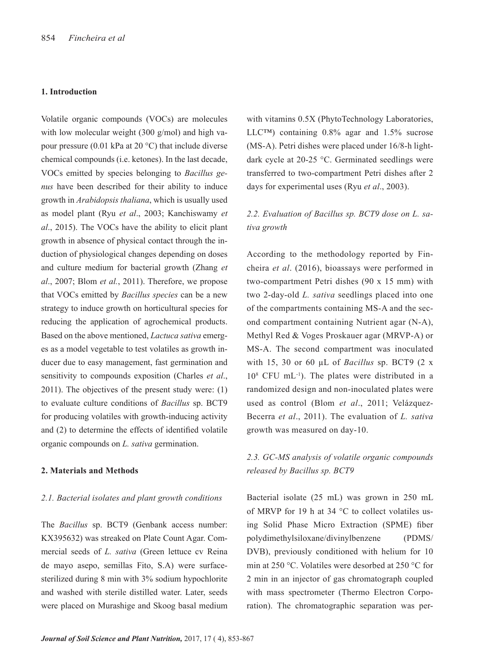## **1. Introduction**

Volatile organic compounds (VOCs) are molecules with low molecular weight (300 g/mol) and high vapour pressure (0.01 kPa at 20 °C) that include diverse chemical compounds (i.e. ketones). In the last decade, VOCs emitted by species belonging to *Bacillus genus* have been described for their ability to induce growth in *Arabidopsis thaliana*, which is usually used as model plant (Ryu *et al*., 2003; Kanchiswamy *et al*., 2015). The VOCs have the ability to elicit plant growth in absence of physical contact through the induction of physiological changes depending on doses and culture medium for bacterial growth (Zhang *et al*., 2007; Blom *et al.*, 2011). Therefore, we propose that VOCs emitted by *Bacillus species* can be a new strategy to induce growth on horticultural species for reducing the application of agrochemical products. Based on the above mentioned, *Lactuca sativa* emerges as a model vegetable to test volatiles as growth inducer due to easy management, fast germination and sensitivity to compounds exposition (Charles *et al*., 2011). The objectives of the present study were: (1) to evaluate culture conditions of *Bacillus* sp. BCT9 for producing volatiles with growth-inducing activity and (2) to determine the effects of identified volatile organic compounds on *L. sativa* germination.

## **2. Materials and Methods**

#### *2.1. Bacterial isolates and plant growth conditions*

The *Bacillus* sp. BCT9 (Genbank access number: KX395632) was streaked on Plate Count Agar. Commercial seeds of *L. sativa* (Green lettuce cv Reina de mayo asepo, semillas Fito, S.A) were surfacesterilized during 8 min with 3% sodium hypochlorite and washed with sterile distilled water. Later, seeds were placed on Murashige and Skoog basal medium with vitamins 0.5X (PhytoTechnology Laboratories, LLC™) containing 0.8% agar and 1.5% sucrose (MS-A). Petri dishes were placed under 16/8-h lightdark cycle at 20-25 °C. Germinated seedlings were transferred to two-compartment Petri dishes after 2 days for experimental uses (Ryu *et al*., 2003).

# *2.2. Evaluation of Bacillus sp. BCT9 dose on L. sativa growth*

According to the methodology reported by Fincheira *et al*. (2016), bioassays were performed in two-compartment Petri dishes (90 x 15 mm) with two 2-day-old *L. sativa* seedlings placed into one of the compartments containing MS-A and the second compartment containing Nutrient agar (N-A), Methyl Red & Voges Proskauer agar (MRVP-A) or MS-A. The second compartment was inoculated with 15, 30 or 60 µL of *Bacillus* sp. BCT9 (2 x  $10^8$  CFU mL<sup>-1</sup>). The plates were distributed in a randomized design and non-inoculated plates were used as control (Blom *et al*., 2011; Velázquez-Becerra *et al*., 2011). The evaluation of *L. sativa* growth was measured on day-10.

# *2.3. GC-MS analysis of volatile organic compounds released by Bacillus sp. BCT9*

Bacterial isolate (25 mL) was grown in 250 mL of MRVP for 19 h at 34 °C to collect volatiles using Solid Phase Micro Extraction (SPME) fiber polydimethylsiloxane/divinylbenzene (PDMS/ DVB), previously conditioned with helium for 10 min at 250 °C. Volatiles were desorbed at 250 °C for 2 min in an injector of gas chromatograph coupled with mass spectrometer (Thermo Electron Corporation). The chromatographic separation was per-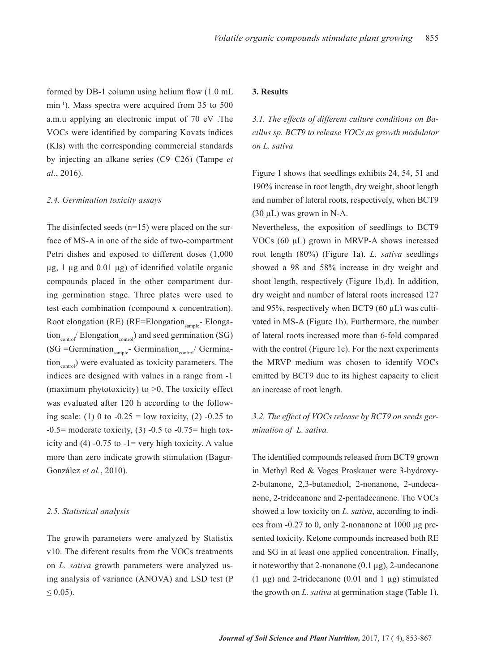formed by DB-1 column using helium flow (1.0 mL min-1). Mass spectra were acquired from 35 to 500 a.m.u applying an electronic imput of 70 eV .The VOCs were identified by comparing Kovats indices (KIs) with the corresponding commercial standards by injecting an alkane series (C9–C26) (Tampe *et al.*, 2016).

#### *2.4. Germination toxicity assays*

The disinfected seeds  $(n=15)$  were placed on the surface of MS-A in one of the side of two-compartment Petri dishes and exposed to different doses (1,000  $\mu$ g, 1  $\mu$ g and 0.01  $\mu$ g) of identified volatile organic compounds placed in the other compartment during germination stage. Three plates were used to test each combination (compound x concentration). Root elongation (RE) (RE=Elongation<sub>sample</sub>- Elonga- $\text{tion}_{\text{control}}$  Elongation<sub>control</sub>) and seed germination (SG) (SG =Germination<sub>sample</sub>- Germination<sub>control</sub>/ Germina $tion_{control}$ ) were evaluated as toxicity parameters. The indices are designed with values in a range from -1 (maximum phytotoxicity) to >0. The toxicity effect was evaluated after 120 h according to the following scale: (1) 0 to  $-0.25$  = low toxicity, (2)  $-0.25$  to  $-0.5$ = moderate toxicity, (3)  $-0.5$  to  $-0.75$ = high toxicity and  $(4)$  -0.75 to -1= very high toxicity. A value more than zero indicate growth stimulation (Bagur-González *et al.*, 2010).

#### *2.5. Statistical analysis*

The growth parameters were analyzed by Statistix v10. The diferent results from the VOCs treatments on *L. sativa* growth parameters were analyzed using analysis of variance (ANOVA) and LSD test (P  $\leq 0.05$ ).

### **3. Results**

*3.1. The effects of different culture conditions on Bacillus sp. BCT9 to release VOCs as growth modulator on L. sativa* 

Figure 1 shows that seedlings exhibits 24, 54, 51 and 190% increase in root length, dry weight, shoot length and number of lateral roots, respectively, when BCT9  $(30 \mu L)$  was grown in N-A.

Nevertheless, the exposition of seedlings to BCT9 VOCs (60 µL) grown in MRVP-A shows increased root length (80%) (Figure 1a). *L. sativa* seedlings showed a 98 and 58% increase in dry weight and shoot length, respectively (Figure 1b,d). In addition, dry weight and number of lateral roots increased 127 and 95%, respectively when BCT9 (60 µL) was cultivated in MS-A (Figure 1b). Furthermore, the number of lateral roots increased more than 6-fold compared with the control (Figure 1c). For the next experiments the MRVP medium was chosen to identify VOCs emitted by BCT9 due to its highest capacity to elicit an increase of root length.

# *3.2. The effect of VOCs release by BCT9 on seeds germination of L. sativa.*

The identified compounds released from BCT9 grown in Methyl Red & Voges Proskauer were 3-hydroxy-2-butanone, 2,3-butanediol, 2-nonanone, 2-undecanone, 2-tridecanone and 2-pentadecanone. The VOCs showed a low toxicity on *L. sativa*, according to indices from  $-0.27$  to 0, only 2-nonanone at 1000  $\mu$ g presented toxicity. Ketone compounds increased both RE and SG in at least one applied concentration. Finally, it noteworthy that 2-nonanone  $(0.1 \mu g)$ , 2-undecanone (1  $\mu$ g) and 2-tridecanone (0.01 and 1  $\mu$ g) stimulated the growth on *L. sativa* at germination stage (Table 1).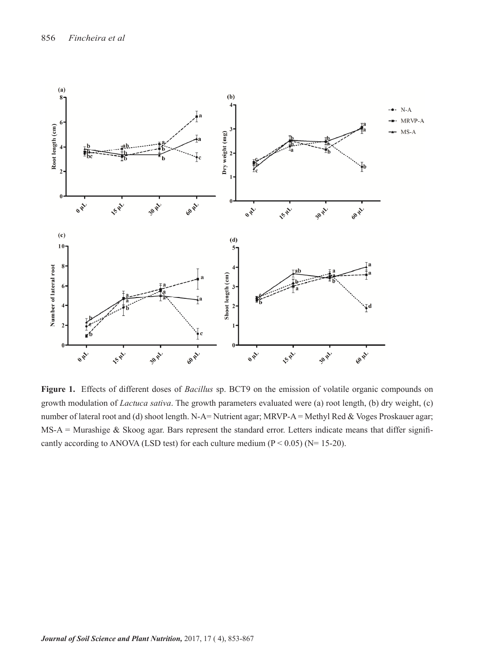

**Figure 1.** Effects of different doses of *Bacillus* sp. BCT9 on the emission of volatile organic compounds on growth modulation of *Lactuca sativa*. The growth parameters evaluated were (a) root length, (b) dry weight, (c) number of lateral root and (d) shoot length. N-A= Nutrient agar; MRVP-A = Methyl Red & Voges Proskauer agar;  $MS-A =$  Murashige & Skoog agar. Bars represent the standard error. Letters indicate means that differ significantly according to ANOVA (LSD test) for each culture medium ( $P < 0.05$ ) ( $N = 15-20$ ).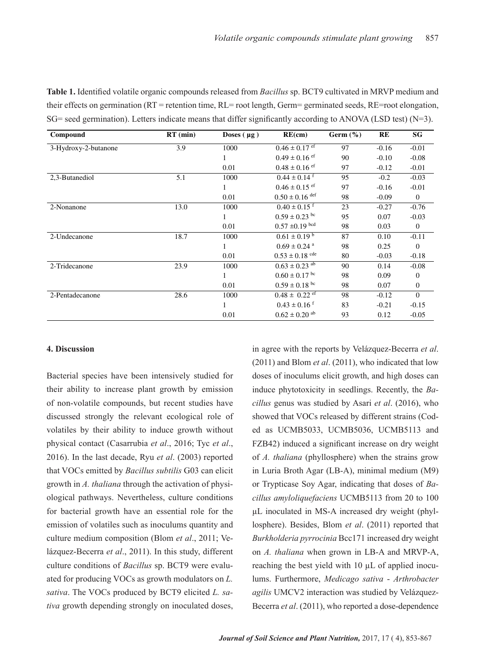**Table 1.** Identified volatile organic compounds released from *Bacillus* sp. BCT9 cultivated in MRVP medium and their effects on germination (RT = retention time, RL= root length, Germ= germinated seeds, RE=root elongation, SG= seed germination). Letters indicate means that differ significantly according to ANOVA (LSD test) ( $N=3$ ).

| Compound             | $RT$ (min) | Doses $(\mu g)$ | RE(cm)                         | Germ $(\% )$ | RE      | SG               |
|----------------------|------------|-----------------|--------------------------------|--------------|---------|------------------|
| 3-Hydroxy-2-butanone | 3.9        | 1000            | $0.46 \pm 0.17$ ef             | 97           | $-0.16$ | $-0.01$          |
|                      |            | 1               | $0.49 \pm 0.16$ ef             | 90           | $-0.10$ | $-0.08$          |
|                      |            | 0.01            | $0.48 \pm 0.16$ ef             | 97           | $-0.12$ | $-0.01$          |
| 2,3-Butanediol       | 5.1        | 1000            | $0.44 \pm 0.14$ <sup>f</sup>   | 95           | $-0.2$  | $-0.03$          |
|                      |            | $\mathbf 1$     | $0.46 \pm 0.15$ ef             | 97           | $-0.16$ | $-0.01$          |
|                      |            | 0.01            | $0.50 \pm 0.16$ def            | 98           | $-0.09$ | $\mathbf{0}$     |
| 2-Nonanone           | 13.0       | 1000            | $0.40 \pm 0.15$ <sup>f</sup>   | 23           | $-0.27$ | $-0.76$          |
|                      |            | $\mathbf 1$     | $0.59 \pm 0.23$ bc             | 95           | 0.07    | $-0.03$          |
|                      |            | 0.01            | $0.57 \pm 0.19$ bcd            | 98           | 0.03    | $\boldsymbol{0}$ |
| 2-Undecanone         | 18.7       | 1000            | $0.61 \pm 0.19^{b}$            | 87           | 0.10    | $-0.11$          |
|                      |            | 1               | $0.69 \pm 0.24$ <sup>a</sup>   | 98           | 0.25    | $\mathbf{0}$     |
|                      |            | 0.01            | $0.53 \pm 0.18$ <sup>cde</sup> | 80           | $-0.03$ | $-0.18$          |
| 2-Tridecanone        | 23.9       | 1000            | $0.63 \pm 0.23$ <sup>ab</sup>  | 90           | 0.14    | $-0.08$          |
|                      |            | $\mathbf 1$     | $0.60 \pm 0.17$ bc             | 98           | 0.09    | $\mathbf{0}$     |
|                      |            | 0.01            | $0.59 \pm 0.18$ <sup>bc</sup>  | 98           | 0.07    | $\boldsymbol{0}$ |
| 2-Pentadecanone      | 28.6       | 1000            | $0.48 \pm 0.22$ ef             | 98           | $-0.12$ | $\Omega$         |
|                      |            | $\mathbf 1$     | $0.43 \pm 0.16$ <sup>f</sup>   | 83           | $-0.21$ | $-0.15$          |
|                      |            | 0.01            | $0.62 \pm 0.20$ <sup>ab</sup>  | 93           | 0.12    | $-0.05$          |

#### **4. Discussion**

Bacterial species have been intensively studied for their ability to increase plant growth by emission of non-volatile compounds, but recent studies have discussed strongly the relevant ecological role of volatiles by their ability to induce growth without physical contact (Casarrubia *et al*., 2016; Tyc *et al*., 2016). In the last decade, Ryu *et al*. (2003) reported that VOCs emitted by *Bacillus subtilis* G03 can elicit growth in *A. thaliana* through the activation of physiological pathways. Nevertheless, culture conditions for bacterial growth have an essential role for the emission of volatiles such as inoculums quantity and culture medium composition (Blom *et al*., 2011; Velázquez-Becerra *et al*., 2011). In this study, different culture conditions of *Bacillus* sp. BCT9 were evaluated for producing VOCs as growth modulators on *L. sativa*. The VOCs produced by BCT9 elicited *L. sativa* growth depending strongly on inoculated doses,

in agree with the reports by Velázquez-Becerra *et al*. (2011) and Blom *et al*. (2011), who indicated that low doses of inoculums elicit growth, and high doses can induce phytotoxicity in seedlings. Recently, the *Bacillus* genus was studied by Asari *et al*. (2016), who showed that VOCs released by different strains (Coded as UCMB5033, UCMB5036, UCMB5113 and FZB42) induced a significant increase on dry weight of *A. thaliana* (phyllosphere) when the strains grow in Luria Broth Agar (LB-A), minimal medium (M9) or Trypticase Soy Agar, indicating that doses of *Bacillus amyloliquefaciens* UCMB5113 from 20 to 100 µL inoculated in MS-A increased dry weight (phyllosphere). Besides, Blom *et al*. (2011) reported that *Burkholderia pyrrocinia* Bcc171 increased dry weight on *A. thaliana* when grown in LB-A and MRVP-A, reaching the best yield with 10 µL of applied inoculums. Furthermore, *Medicago sativa* - *Arthrobacter agilis* UMCV2 interaction was studied by Velázquez-Becerra *et al*. (2011), who reported a dose-dependence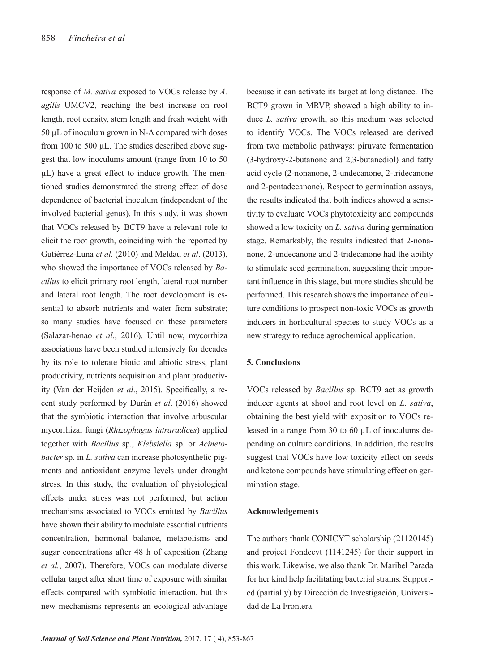response of *M. sativa* exposed to VOCs release by *A. agilis* UMCV2, reaching the best increase on root length, root density, stem length and fresh weight with 50 µL of inoculum grown in N-A compared with doses from 100 to 500 µL. The studies described above suggest that low inoculums amount (range from 10 to 50 µL) have a great effect to induce growth. The mentioned studies demonstrated the strong effect of dose dependence of bacterial inoculum (independent of the involved bacterial genus). In this study, it was shown that VOCs released by BCT9 have a relevant role to elicit the root growth, coinciding with the reported by Gutiérrez-Luna *et al.* (2010) and Meldau *et al*. (2013), who showed the importance of VOCs released by *Bacillus* to elicit primary root length, lateral root number and lateral root length. The root development is essential to absorb nutrients and water from substrate; so many studies have focused on these parameters (Salazar-henao *et al*., 2016). Until now, mycorrhiza associations have been studied intensively for decades by its role to tolerate biotic and abiotic stress, plant productivity, nutrients acquisition and plant productivity (Van der Heijden *et al*., 2015). Specifically, a recent study performed by Durán *et al*. (2016) showed that the symbiotic interaction that involve arbuscular mycorrhizal fungi (*Rhizophagus intraradices*) applied together with *Bacillus* sp., *Klebsiella* sp. or *Acinetobacter* sp. in *L. sativa* can increase photosynthetic pigments and antioxidant enzyme levels under drought stress. In this study, the evaluation of physiological effects under stress was not performed, but action mechanisms associated to VOCs emitted by *Bacillus*  have shown their ability to modulate essential nutrients concentration, hormonal balance, metabolisms and sugar concentrations after 48 h of exposition (Zhang *et al.*, 2007). Therefore, VOCs can modulate diverse cellular target after short time of exposure with similar effects compared with symbiotic interaction, but this new mechanisms represents an ecological advantage because it can activate its target at long distance. The BCT9 grown in MRVP, showed a high ability to induce *L. sativa* growth, so this medium was selected to identify VOCs. The VOCs released are derived from two metabolic pathways: piruvate fermentation (3-hydroxy-2-butanone and 2,3-butanediol) and fatty acid cycle (2-nonanone, 2-undecanone, 2-tridecanone and 2-pentadecanone). Respect to germination assays, the results indicated that both indices showed a sensitivity to evaluate VOCs phytotoxicity and compounds showed a low toxicity on *L. sativa* during germination stage. Remarkably, the results indicated that 2-nonanone, 2-undecanone and 2-tridecanone had the ability to stimulate seed germination, suggesting their important influence in this stage, but more studies should be performed. This research shows the importance of culture conditions to prospect non-toxic VOCs as growth inducers in horticultural species to study VOCs as a new strategy to reduce agrochemical application.

### **5. Conclusions**

VOCs released by *Bacillus* sp. BCT9 act as growth inducer agents at shoot and root level on *L. sativa*, obtaining the best yield with exposition to VOCs released in a range from 30 to 60 µL of inoculums depending on culture conditions. In addition, the results suggest that VOCs have low toxicity effect on seeds and ketone compounds have stimulating effect on germination stage.

#### **Acknowledgements**

The authors thank CONICYT scholarship (21120145) and project Fondecyt (1141245) for their support in this work. Likewise, we also thank Dr. Maribel Parada for her kind help facilitating bacterial strains. Supported (partially) by Dirección de Investigación, Universidad de La Frontera.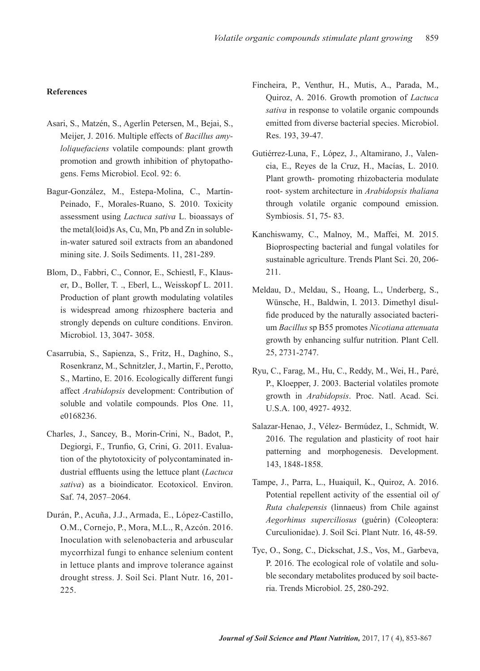## **References**

- Asari, S., Matzén, S., Agerlin Petersen, M., Bejai, S., Meijer, J. 2016. Multiple effects of *Bacillus amyloliquefaciens* volatile compounds: plant growth promotion and growth inhibition of phytopathogens. Fems Microbiol. Ecol. 92: 6.
- Bagur-González, M., Estepa-Molina, C., Martín-Peinado, F., Morales-Ruano, S. 2010. Toxicity assessment using *Lactuca sativa* L. bioassays of the metal(loid)s As, Cu, Mn, Pb and Zn in solublein-water satured soil extracts from an abandoned mining site. J. Soils Sediments. 11, 281-289.
- Blom, D., Fabbri, C., Connor, E., Schiestl, F., Klauser, D., Boller, T. ., Eberl, L., Weisskopf L. 2011. Production of plant growth modulating volatiles is widespread among rhizosphere bacteria and strongly depends on culture conditions. Environ. Microbiol. 13, 3047- 3058.
- Casarrubia, S., Sapienza, S., Fritz, H., Daghino, S., Rosenkranz, M., Schnitzler, J., Martin, F., Perotto, S., Martino, E. 2016. Ecologically different fungi affect *Arabidopsis* development: Contribution of soluble and volatile compounds. Plos One. 11, e0168236.
- Charles, J., Sancey, B., Morin-Crini, N., Badot, P., Degiorgi, F., Trunfio, G, Crini, G. 2011. Evaluation of the phytotoxicity of polycontaminated industrial effluents using the lettuce plant (*Lactuca sativa*) as a bioindicator. Ecotoxicol. Environ. Saf. 74, 2057–2064.
- Durán, P., Acuña, J.J., Armada, E., López-Castillo, O.M., Cornejo, P., Mora, M.L., R, Azcón. 2016. Inoculation with selenobacteria and arbuscular mycorrhizal fungi to enhance selenium content in lettuce plants and improve tolerance against drought stress. J. Soil Sci. Plant Nutr. 16, 201- 225.
- Fincheira, P., Venthur, H., Mutis, A., Parada, M., Quiroz, A. 2016. Growth promotion of *Lactuca sativa* in response to volatile organic compounds emitted from diverse bacterial species. Microbiol. Res. 193, 39-47.
- Gutiérrez-Luna, F., López, J., Altamirano, J., Valencia, E., Reyes de la Cruz, H., Macías, L. 2010. Plant growth- promoting rhizobacteria modulate root- system architecture in *Arabidopsis thaliana*  through volatile organic compound emission. Symbiosis. 51, 75- 83.
- Kanchiswamy, C., Malnoy, M., Maffei, M. 2015. Bioprospecting bacterial and fungal volatiles for sustainable agriculture. Trends Plant Sci. 20, 206- 211.
- Meldau, D., Meldau, S., Hoang, L., Underberg, S., Wünsche, H., Baldwin, I. 2013. Dimethyl disulfide produced by the naturally associated bacterium *Bacillus* sp B55 promotes *Nicotiana attenuata*  growth by enhancing sulfur nutrition. Plant Cell. 25, 2731-2747.
- Ryu, C., Farag, M., Hu, C., Reddy, M., Wei, H., Paré, P., Kloepper, J. 2003. Bacterial volatiles promote growth in *Arabidopsis*. Proc. Natl. Acad. Sci. U.S.A. 100, 4927- 4932.
- Salazar-Henao, J., Vélez- Bermúdez, I., Schmidt, W. 2016. The regulation and plasticity of root hair patterning and morphogenesis. Development. 143, 1848-1858.
- Tampe, J., Parra, L., Huaiquil, K., Quiroz, A. 2016. Potential repellent activity of the essential oil o*f Ruta chalepensis* (linnaeus) from Chile against *Aegorhinus superciliosus* (guérin) (Coleoptera: Curculionidae). J. Soil Sci. Plant Nutr. 16, 48-59.
- Tyc, O., Song, C., Dickschat, J.S., Vos, M., Garbeva, P. 2016. The ecological role of volatile and soluble secondary metabolites produced by soil bacteria. Trends Microbiol. 25, 280-292.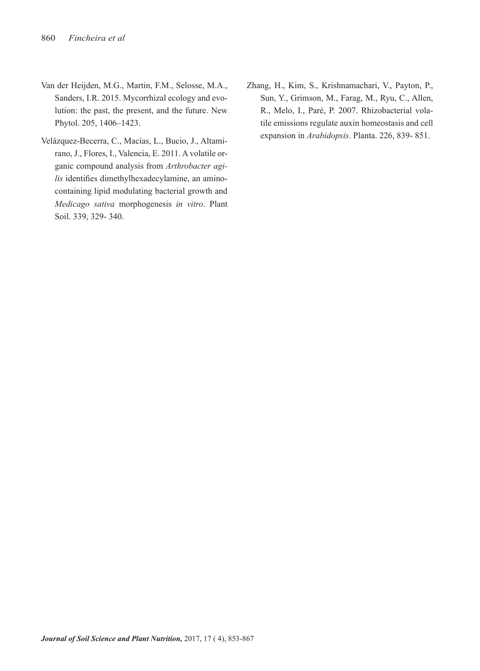- Van der Heijden, M.G., Martin, F.M., Selosse, M.A., Sanders, I.R. 2015. Mycorrhizal ecology and evolution: the past, the present, and the future. New Phytol. 205, 1406–1423.
- Velázquez-Becerra, C., Macías, L., Bucio, J., Altamirano, J., Flores, I., Valencia, E. 2011. A volatile organic compound analysis from *Arthrobacter agilis* identifies dimethylhexadecylamine, an aminocontaining lipid modulating bacterial growth and *Medicago sativa* morphogenesis *in vitro*. Plant Soil. 339, 329- 340.
- Zhang, H., Kim, S., Krishnamachari, V., Payton, P., Sun, Y., Grimson, M., Farag, M., Ryu, C., Allen, R., Melo, I., Paré, P. 2007. Rhizobacterial volatile emissions regulate auxin homeostasis and cell expansion in *Arabidopsis*. Planta. 226, 839- 851.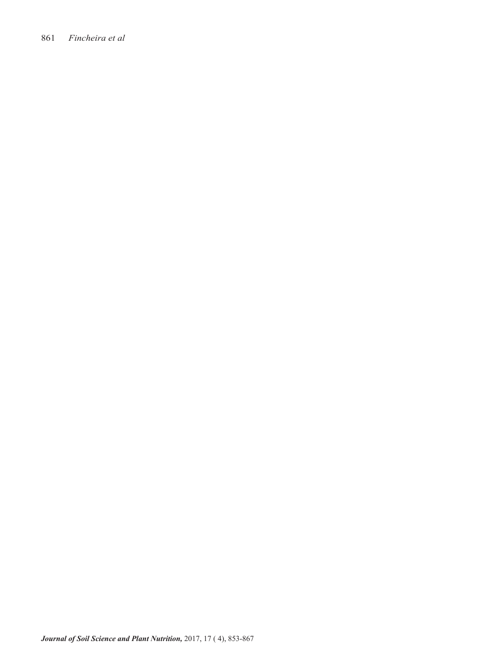# 861 *Fincheira et al Volatile organic compounds stimulate plant growing*